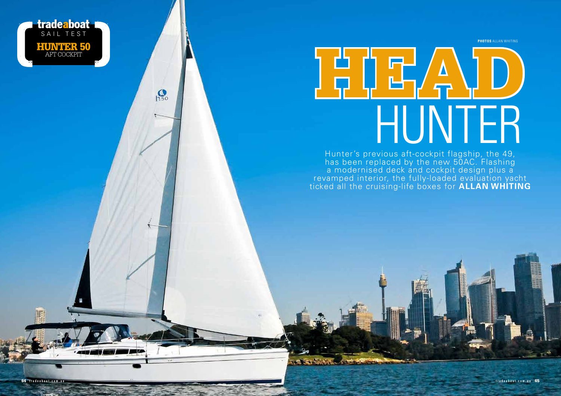**PHOTOS** ALLAN WHITING



**tradeaboat** 

HUNTER 50 AFT COCKPIT

 $\mathbf{Q}$ 

 $V$ 

64 tradeaboat.com.au

Hunter's previous aft-cockpit flagship, the 49, has been replaced by the new 50AC. Flashing a modernised deck and cockpit design plus a revamped interior, the fully-loaded evaluation yacht ticked all the cruising-life boxes for **ALLAN WHITING**

**PERSONAL PROPERTY** 

tradeaboat.com.au 65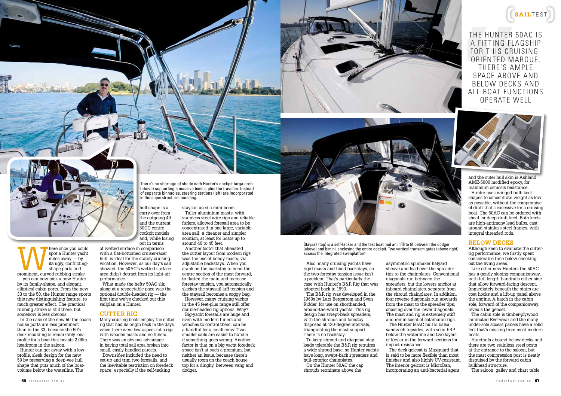

The Hunter 50AC is a fitting flagship for this cruisingoriented marque. There's ample space above and below decks and all boat functions operate well



and the outer hull skin is Ashland AME-5000 modified epoxy, for maximum osmosis resistance. Hunter uses winged-bulb keel shapes to concentrate weight as low as possible, without the compromise of draft that's excessive for a cruising boat. The 50AC can be ordered with shoal- or deep-draft keel. Both keels are high-antimony lead bulbs, cast around stainless steel frames, with integral threaded rods.

## **BELOW DECKS**

Although keen to evaluate the cutterrig performance, we firstly spent considerable time below checking out the living areas.

Like other new Hunters the 50AC has a gently sloping companionway, with full-length handrails either side that allow forward-facing descent. Immediately beneath the stairs are coat hooks and a lift-up panel above the engine. A hatch in the cabin sole, forward of the companionway, reveals the genset.

The cabin sole is timber-plywood laminated Everwear and the many under-sole access panels have a solid feel that's missing from most modern boats.

Handrails abound below decks and there are two stainless steel posts at the entrance to the saloon, but the mast compression post is neatly disguised by the forward cabin bulkhead structure.

The saloon, galley and chart table



Marie once you could spot a Hunter yacht miles away — by its ugly, conflicting-<br>prominent, curved rubbing strake spot a Hunter yacht miles away — by its ugly, conflictingshape ports and — you can now pick a new Hunter by its family-shape, and elegant, elliptical cabin ports. From the new 33 to the 50, the Hunter range sports this new distinguishing feature, to much greater effect. The practical rubbing strake is still there, but somehow is less obvious. In the case of the new 50 the coach house ports are less prominent than in the 33, because the 50's deck moulding is remarkably lowprofile for a boat that boasts 2.06m headroom in the saloon. Hunter can get away with a low-

profile, sleek design for the new 50 by preserving a deep-vee hull shape that puts much of the boatvolume below the waterline. The

out in terms of wetted surface in comparison performance.

What made the hefty 50AC slip optional double-headed rig — the first time we've checked out this sailplan on a Hunter.

Many cruising boats employ the cutter rig that had its origin back in the days when there were low-aspect-ratio rigs with wooden masts and no furlers. There was an obvious advantage in having total sail area broken into small, easily-handled parcels. Downsides included the need to set-up and trim two foresails, and the inevitable restriction on foredeck space; especially if the self-tacking

There's no shortage of shade with Hunter's cockpit targa arch (above) supporting a massive bimini, plus the traveller. Instead of separate binnacles, steering stations (left) are incorporated in the superstructure moulding.

hull shape is a carry-over from the outgoing 49 and the current 50CC centre cockpit models and, while losing staysail used a mini-boom.

with a flat-bottomed cruiser-racer hull, is ideal for the stately cruising vocation. However, as our day's sail showed, the 50AC's wetted surface area didn't detract from its light-air

along at a respectable pace was the

## **CUTTER RIG**

Taller aluminium masts, with stainless steel wire rigs and reliable furlers, allowed foresail area to be concentrated in one large, variablearea sail: a cheaper and simpler solution, at least for boats up to around 40 to 45 feet. Another factor that alienated the cutter layout from modern rigs

was the use of bendy masts, via adjustable backstays. When you crank on the backstay to bend the centre section of the mast forward, to flatten the main and increase forestay tension, you automatically slacken the staysail luff tension and the staysail becomes a soggy bag. However, many cruising yachts in the 45 feet-plus range still offer double-headed rig options. Why? Big-yacht foresails are huge and even with modern furlers and winches to control them, can be a handful for a small crew. Two smaller sails are easier to handle if something goes wrong. Another factor is that on a big yacht foredeck space isn't at such a premium, but neither an issue, because there's usually room on the coach house top for a dinghy, between vang and dodger.

Staysail (top) is a self-tacker and the test boat had an infill to fit between the dodger (above) and bimini, enclosing the entire cockpit. Two vertical transom gates (above right) access the integrated swimplatform.

Also, many cruising yachts have rigid masts and fixed backstays, so the two-forestay tension issue isn't a problem. That's particularly the case with Hunter's B&R Rig that was adopted back in 1993.

The B&R rig was developed in the 1960s by Lars Bergstrom and Sven Ridder, for use on shorthanded, around-the-world yachts. This rig design has swept-back spreaders, with the shrouds and forestay disposed at 120-degree intervals, triangulating the mast support. There is no backstay.

To keep shroud and diagonal stay loads tolerable the B&R rig requires a wide shroud base, so Hunter yachts have long, swept-back spreaders and hull-exterior chainplates. On the Hunter 50AC the cap shrouds terminate above the

asymmetric spinnaker halyard sheave and lead over the spreader tips to the chainplates. Conventional diagonals run between the spreaders, but the lowers anchor at inboard chainplates, separate from the shroud chainplates. In addition, four reverse diagonals run upwards from the mast to the spreader tips, crossing over the lower diagonals. The mast and rig is extremely stiff and reminiscent of catamaran rigs. The Hunter 50AC hull is balsa sandwich topsides, with solid FRP

below the waterline and two layers of Kevlar in the forward sections for impact resistance.

The deck gelcoat is Maxguard that is said to be more flexible than most finishes and also highly UV-resistant. The interior gelcoat is MicroBan, incorporating an anti-bacterial agent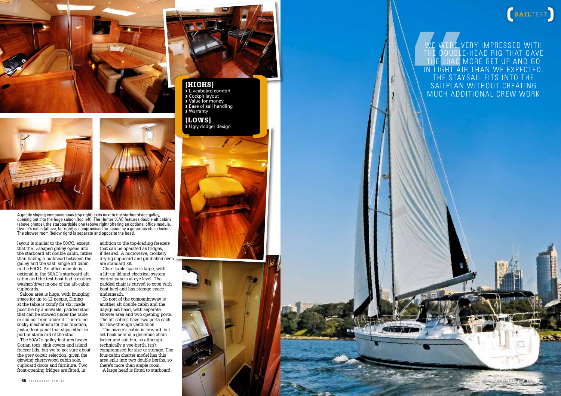



A gently sloping companionway (top right) exits next to the starboardside galley, opening out into the huge saloon (top left). The Hunter 50AC features double aft cabins (above photos), the starboardside one (above right) offering an optional office module. Owner's cabin (above, far right) is compromised for space by a generous chain locker. The shower room (below right) is separate and opposite the head.

layout is similar to the 50CC, except that the L-shaped galley opens into the starboard aft double cabin, rather than having a bulkhead between the galley and the vast, single aft cabin in the 50CC. An office module is optional in the 50AC's starboard aft cabin and the test boat had a clothes washer/dryer in one of the aft-cabin cupboards.

Saloon area is huge, with lounging space for up to 12 people. Dining at the table is comfy for six; made possible by a movable, padded stool that can be stowed under the table or slid out from under it. There's no tricky mechanism for this function, just a floor panel that slips either to port or starboard of the stool. The 50AC's galley features heavy Corian tops, sink covers and island freezer lids, but we're not sure about the grey colour selection, given the glowing cherrywood cabin sole, cupboard doors and furniture. Two front-opening fridges are fitted, in

addition to the top-loading freezers that can be operated as fridges, if desired. A microwave, crockery drying cupboard and gimballed oven are standard kit.

Chart table space is large, with a lift-up lid and electrical system control panels at eye level. The padded chair is curved to cope with boat heel and has storage space underneath.

To port of the companionway is another aft double cabin and the day/guest head, with separate shower area and two opening ports. The aft cabins have two ports each, for flow-through ventilation. The owner's cabin is forward, but set back behind a generous chain locker and sail bin, so although technically a vee-berth, isn't compromised for size or storage. The four-cabin charter model has this area split into two double berths, so there's more than ample room. A large head is fitted to starboard



# [HIGHS]

› Liveaboard comfort › Cockpit layout › Value for money **Ease of sail handling** › Warranty

# [LOWS]

**J** Ugly dodger design



We were very impressed with the double-head rig that gave the 50AC more get up and go in light air than we expected. THE STAYSAIL FITS INTO THE SAILPLAN WITHOUT CREATING much additional crew work